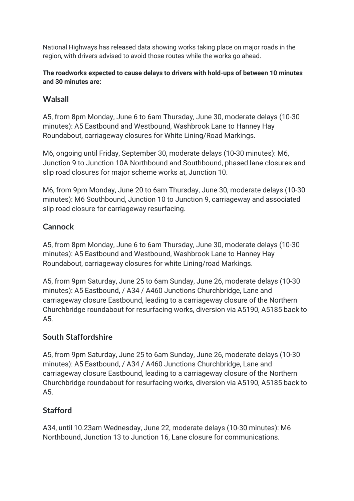National Highways has released data showing works taking place on major roads in the region, with drivers advised to avoid those routes while the works go ahead.

#### **The roadworks expected to cause delays to drivers with hold-ups of between 10 minutes and 30 minutes are:**

## **Walsall**

A5, from 8pm Monday, June 6 to 6am Thursday, June 30, moderate delays (10-30 minutes): A5 Eastbound and Westbound, Washbrook Lane to Hanney Hay Roundabout, carriageway closures for White Lining/Road Markings.

M6, ongoing until Friday, September 30, moderate delays (10-30 minutes): M6, Junction 9 to Junction 10A Northbound and Southbound, phased lane closures and slip road closures for major scheme works at, Junction 10.

M6, from 9pm Monday, June 20 to 6am Thursday, June 30, moderate delays (10-30 minutes): M6 Southbound, Junction 10 to Junction 9, carriageway and associated slip road closure for carriageway resurfacing.

## **Cannock**

A5, from 8pm Monday, June 6 to 6am Thursday, June 30, moderate delays (10-30 minutes): A5 Eastbound and Westbound, Washbrook Lane to Hanney Hay Roundabout, carriageway closures for white Lining/road Markings.

A5, from 9pm Saturday, June 25 to 6am Sunday, June 26, moderate delays (10-30 minutes): A5 Eastbound, / A34 / A460 Junctions Churchbridge, Lane and carriageway closure Eastbound, leading to a carriageway closure of the Northern Churchbridge roundabout for resurfacing works, diversion via A5190, A5185 back to A5.

# **South Staffordshire**

A5, from 9pm Saturday, June 25 to 6am Sunday, June 26, moderate delays (10-30 minutes): A5 Eastbound, / A34 / A460 Junctions Churchbridge, Lane and carriageway closure Eastbound, leading to a carriageway closure of the Northern Churchbridge roundabout for resurfacing works, diversion via A5190, A5185 back to A5.

# **Stafford**

A34, until 10.23am Wednesday, June 22, moderate delays (10-30 minutes): M6 Northbound, Junction 13 to Junction 16, Lane closure for communications.